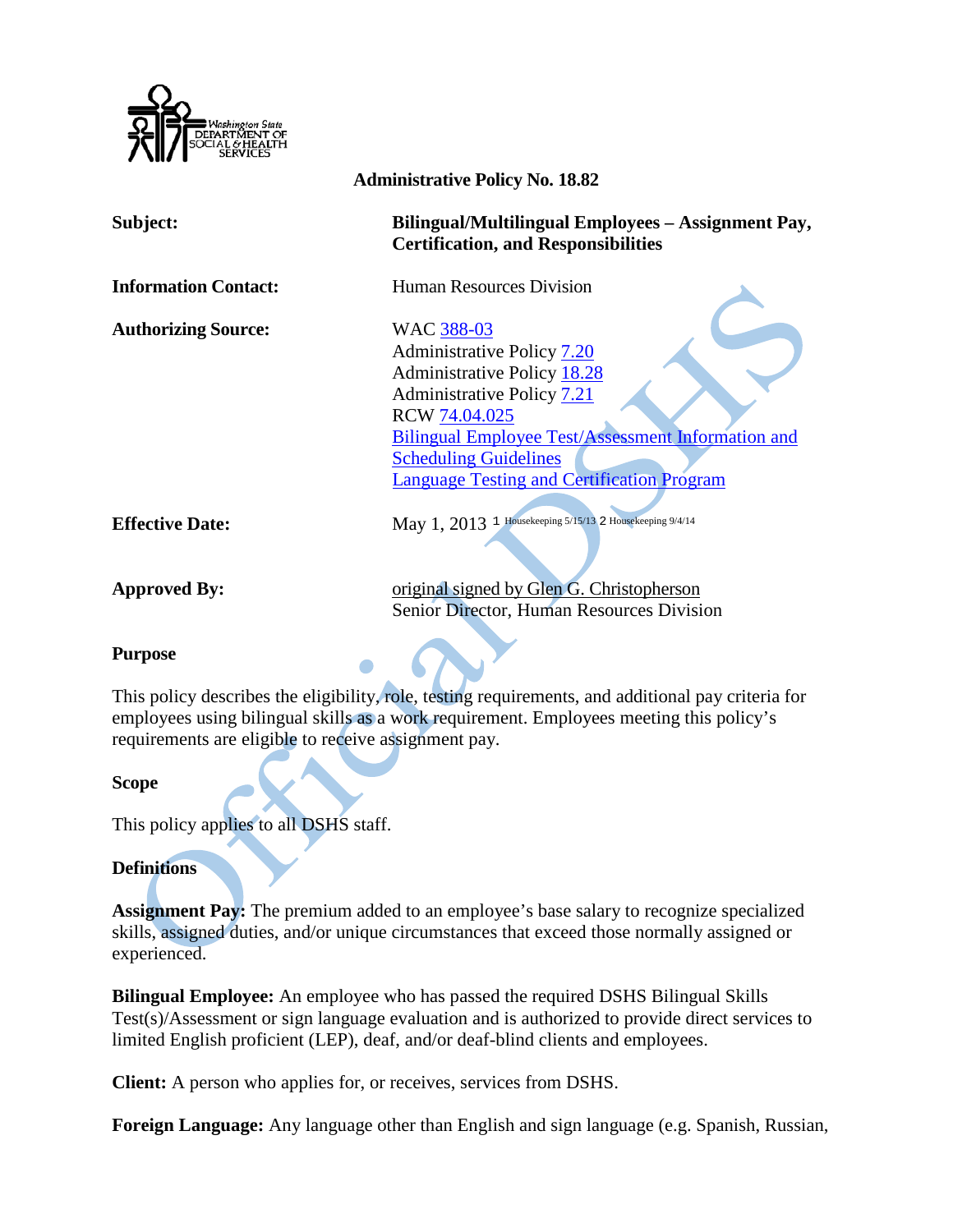

| <b>Administrative Policy No. 18.82</b> |                                                                                                  |
|----------------------------------------|--------------------------------------------------------------------------------------------------|
| Subject:                               | Bilingual/Multilingual Employees - Assignment Pay,<br><b>Certification, and Responsibilities</b> |
| <b>Information Contact:</b>            | <b>Human Resources Division</b>                                                                  |
| <b>Authorizing Source:</b>             | WAC 388-03                                                                                       |
|                                        | Administrative Policy 7.20                                                                       |
|                                        | <b>Administrative Policy 18.28</b>                                                               |
|                                        | Administrative Policy 7.21                                                                       |
|                                        | RCW 74.04.025                                                                                    |
|                                        | <b>Bilingual Employee Test/Assessment Information and</b>                                        |
|                                        | <b>Scheduling Guidelines</b>                                                                     |
|                                        | <b>Language Testing and Certification Program</b>                                                |
|                                        |                                                                                                  |
| <b>Effective Date:</b>                 | May 1, 2013 1 Housekeeping 5/15/13 2 Housekeeping 9/4/14                                         |
|                                        |                                                                                                  |
| <b>Approved By:</b>                    | original signed by Glen G. Christopherson                                                        |
|                                        | <b>Senior Director, Human Resources Division</b>                                                 |

### **Purpose**

This policy describes the eligibility, role, testing requirements, and additional pay criteria for employees using bilingual skills as a work requirement. Employees meeting this policy's requirements are eligible to receive assignment pay.

### **Scope**

This policy applies to all DSHS staff.

### **Definitions**

**Assignment Pay:** The premium added to an employee's base salary to recognize specialized skills, assigned duties, and/or unique circumstances that exceed those normally assigned or experienced.

**Bilingual Employee:** An employee who has passed the required DSHS Bilingual Skills Test(s)/Assessment or sign language evaluation and is authorized to provide direct services to limited English proficient (LEP), deaf, and/or deaf-blind clients and employees.

**Client:** A person who applies for, or receives, services from DSHS.

**Foreign Language:** Any language other than English and sign language (e.g. Spanish, Russian,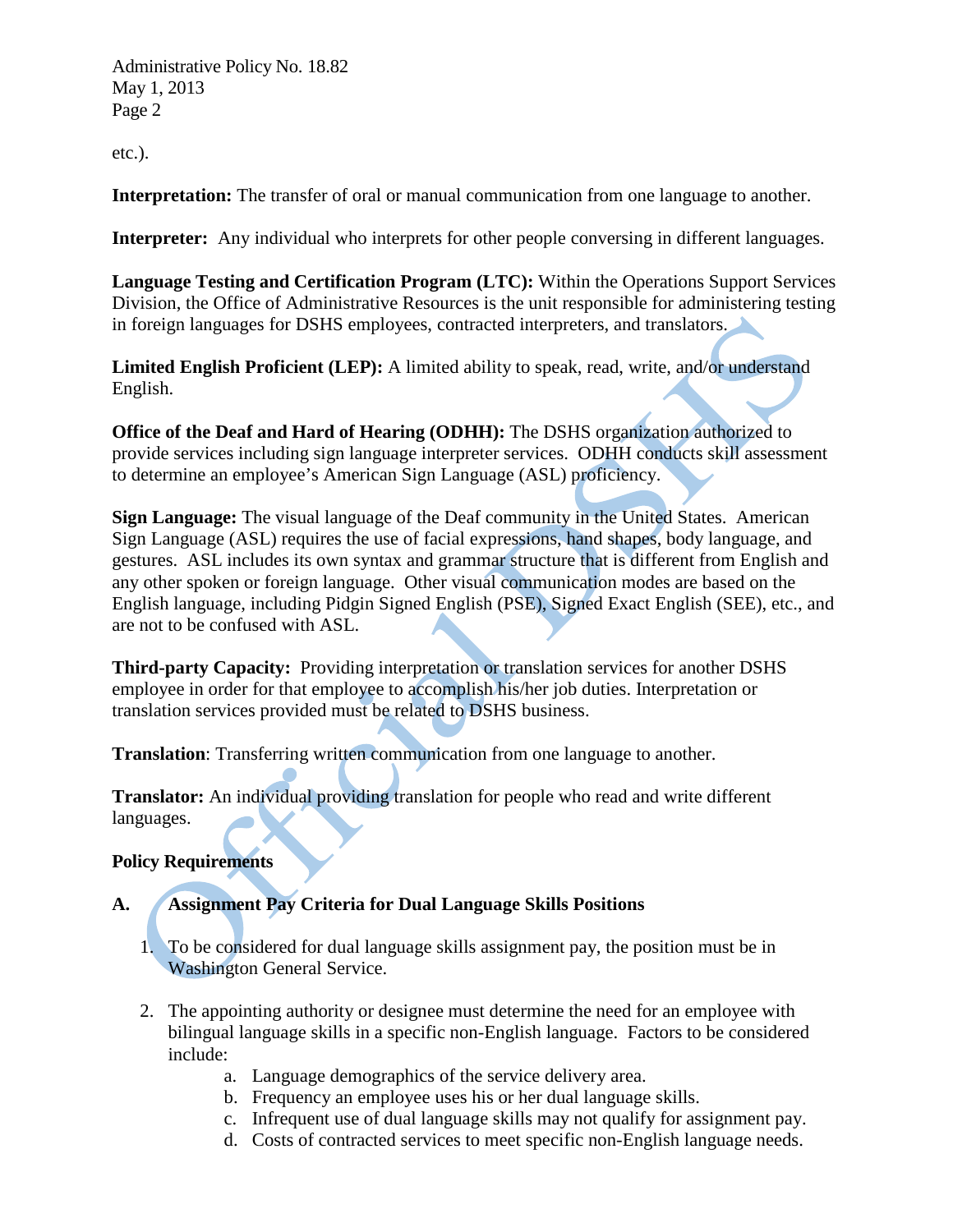Administrative Policy No. 18.82 May 1, 2013 Page 2

etc.).

**Interpretation:** The transfer of oral or manual communication from one language to another.

**Interpreter:** Any individual who interprets for other people conversing in different languages.

**Language Testing and Certification Program (LTC):** Within the Operations Support Services Division, the Office of Administrative Resources is the unit responsible for administering testing in foreign languages for DSHS employees, contracted interpreters, and translators.

**Limited English Proficient (LEP):** A limited ability to speak, read, write, and/or understand English.

**Office of the Deaf and Hard of Hearing (ODHH):** The DSHS organization authorized to provide services including sign language interpreter services. ODHH conducts skill assessment to determine an employee's American Sign Language (ASL) proficiency.

**Sign Language:** The visual language of the Deaf community in the United States. American Sign Language (ASL) requires the use of facial expressions, hand shapes, body language, and gestures. ASL includes its own syntax and grammar structure that is different from English and any other spoken or foreign language. Other visual communication modes are based on the English language, including Pidgin Signed English (PSE), Signed Exact English (SEE), etc., and are not to be confused with ASL.

**Third-party Capacity:** Providing interpretation or translation services for another DSHS employee in order for that employee to accomplish his/her job duties. Interpretation or translation services provided must be related to DSHS business.

**Translation**: Transferring written communication from one language to another.

**Translator:** An individual providing translation for people who read and write different languages.

### **Policy Requirements**

## **A. Assignment Pay Criteria for Dual Language Skills Positions**

- 1. To be considered for dual language skills assignment pay, the position must be in Washington General Service.
- 2. The appointing authority or designee must determine the need for an employee with bilingual language skills in a specific non-English language. Factors to be considered include:
	- a. Language demographics of the service delivery area.
	- b. Frequency an employee uses his or her dual language skills.
	- c. Infrequent use of dual language skills may not qualify for assignment pay.
	- d. Costs of contracted services to meet specific non-English language needs.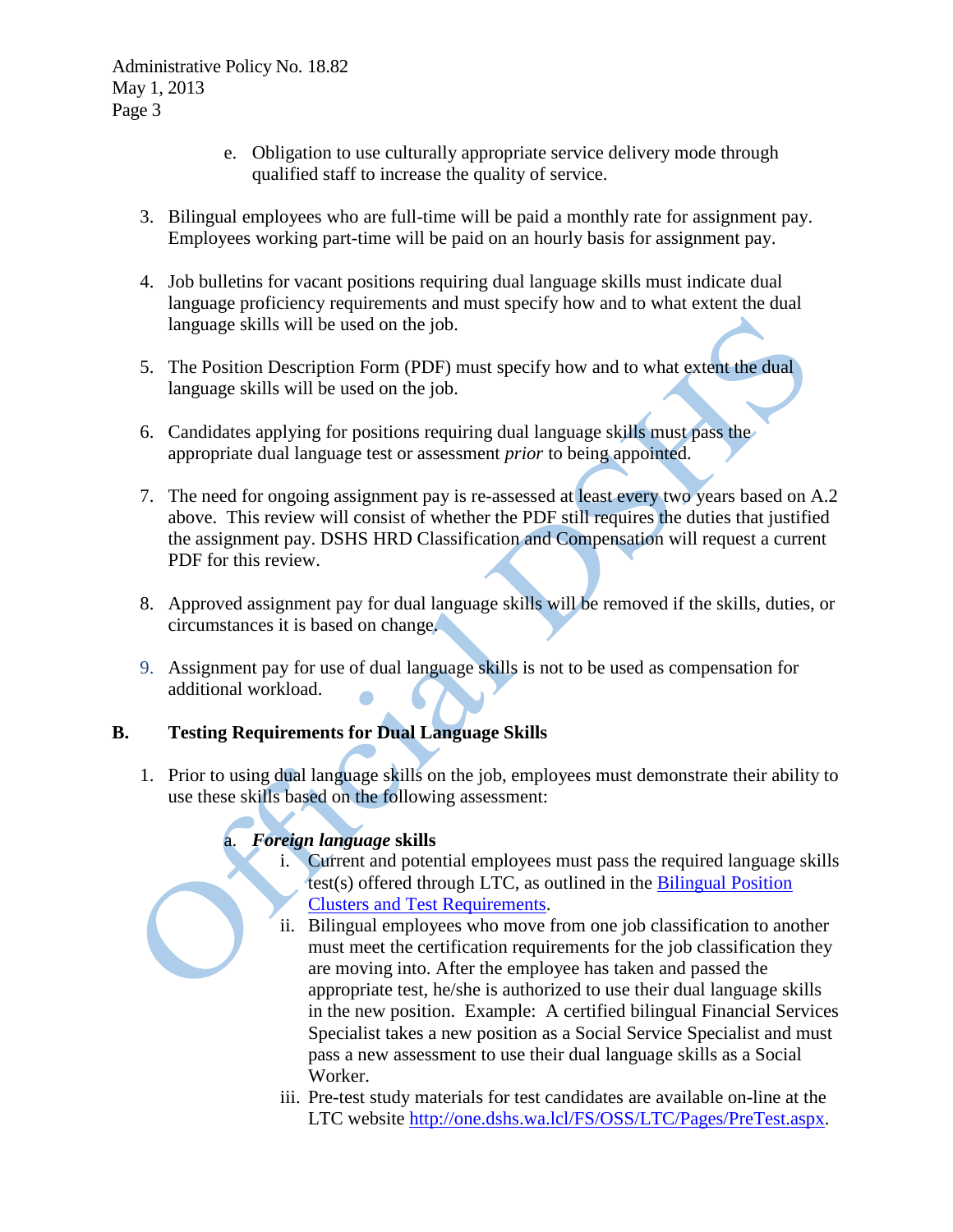- e. Obligation to use culturally appropriate service delivery mode through qualified staff to increase the quality of service.
- 3. Bilingual employees who are full-time will be paid a monthly rate for assignment pay. Employees working part-time will be paid on an hourly basis for assignment pay.
- 4. Job bulletins for vacant positions requiring dual language skills must indicate dual language proficiency requirements and must specify how and to what extent the dual language skills will be used on the job.
- 5. The Position Description Form (PDF) must specify how and to what extent the dual language skills will be used on the job.
- 6. Candidates applying for positions requiring dual language skills must pass the appropriate dual language test or assessment *prior* to being appointed.
- 7. The need for ongoing assignment pay is re-assessed at least every two years based on A.2 above. This review will consist of whether the PDF still requires the duties that justified the assignment pay. DSHS HRD Classification and Compensation will request a current PDF for this review.
- 8. Approved assignment pay for dual language skills will be removed if the skills, duties, or circumstances it is based on change.
- 9. Assignment pay for use of dual language skills is not to be used as compensation for additional workload.

# **B. Testing Requirements for Dual Language Skills**

1. Prior to using dual language skills on the job, employees must demonstrate their ability to use these skills based on the following assessment:

## a. *Foreign language* **skills**

- i. Current and potential employees must pass the required language skills test(s) offered through LTC, as outlined in the Bilingual Position Clusters and Test Requirements.
- ii. Bilingual employees who move from one job classification to another must meet the certification requirements for the job classification they are moving into. After the employee has taken and passed the appropriate test, he/she is authorized to use their dual language skills in the new position. Example: A certified bilingual Financial Services Specialist takes a new position as a Social Service Specialist and must pass a new assessment to use their dual language skills as a Social Worker.
- iii. Pre-test study materials for test candidates are available on-line at the LTC website [http://one.dshs.wa.lcl/FS/OSS/LTC/Pages/PreTest.aspx.](http://one.dshs.wa.lcl/FS/OSS/LTC/Pages/PreTest.aspx)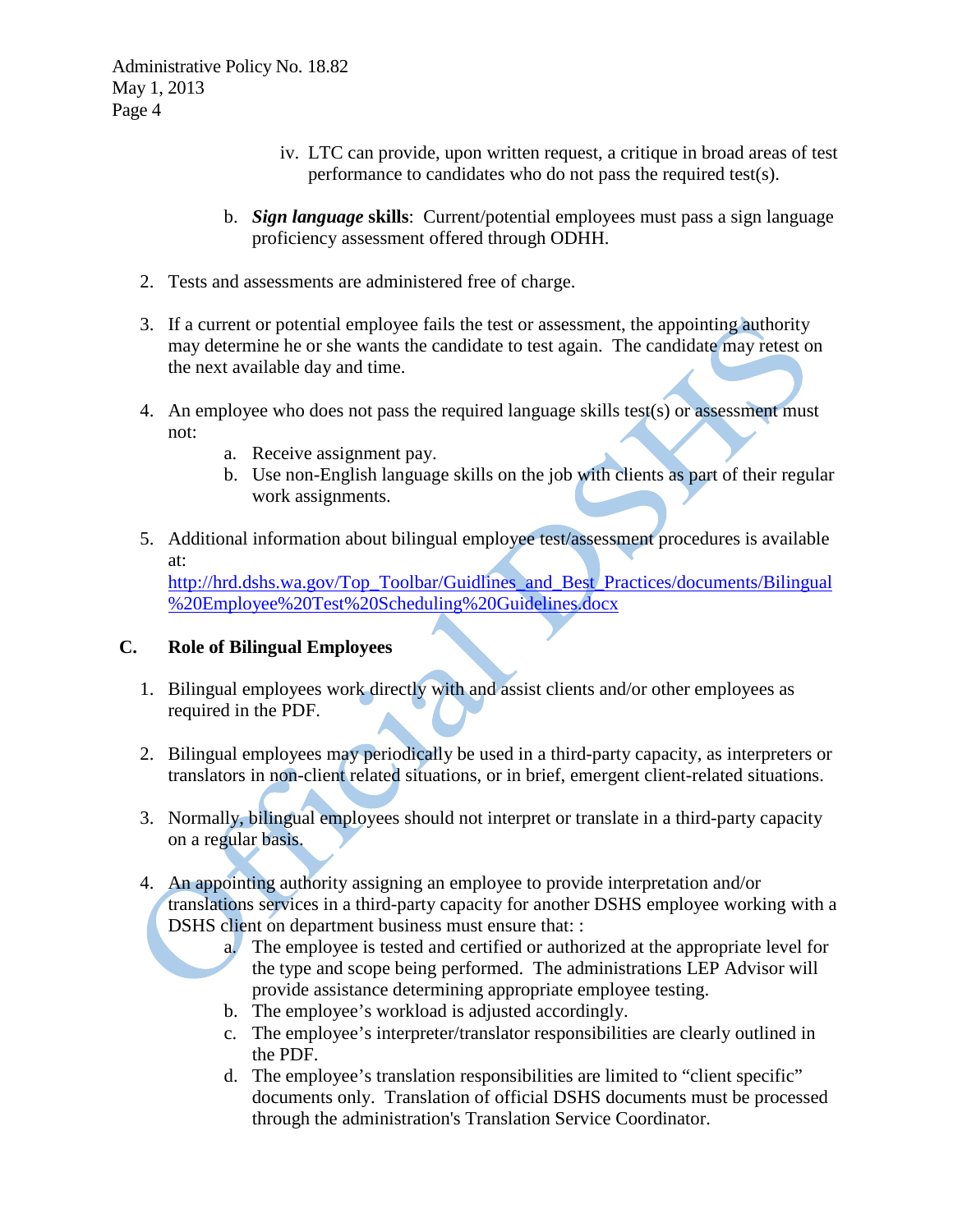- iv. LTC can provide, upon written request, a critique in broad areas of test performance to candidates who do not pass the required test(s).
- b. *Sign language* **skills**: Current/potential employees must pass a sign language proficiency assessment offered through ODHH.
- 2. Tests and assessments are administered free of charge.
- 3. If a current or potential employee fails the test or assessment, the appointing authority may determine he or she wants the candidate to test again. The candidate may retest on the next available day and time.
- 4. An employee who does not pass the required language skills test(s) or assessment must not:
	- a. Receive assignment pay.
	- b. Use non-English language skills on the job with clients as part of their regular work assignments.
- 5. Additional information about bilingual employee test/assessment procedures is available at:

[http://hrd.dshs.wa.gov/Top\\_Toolbar/Guidlines\\_and\\_Best\\_Practices/documents/Bilingual](http://hrd.dshs.wa.gov/Top_Toolbar/Guidlines_and_Best_Practices/documents/Bilingual%20Employee%20Test%20Scheduling%20Guidelines.docx) [%20Employee%20Test%20Scheduling%20Guidelines.docx](http://hrd.dshs.wa.gov/Top_Toolbar/Guidlines_and_Best_Practices/documents/Bilingual%20Employee%20Test%20Scheduling%20Guidelines.docx)

### **C. Role of Bilingual Employees**

- 1. Bilingual employees work directly with and assist clients and/or other employees as required in the PDF.
- 2. Bilingual employees may periodically be used in a third-party capacity, as interpreters or translators in non-client related situations, or in brief, emergent client-related situations.
- 3. Normally, bilingual employees should not interpret or translate in a third-party capacity on a regular basis.
- 4. An appointing authority assigning an employee to provide interpretation and/or translations services in a third-party capacity for another DSHS employee working with a DSHS client on department business must ensure that: :
	- a. The employee is tested and certified or authorized at the appropriate level for the type and scope being performed. The administrations LEP Advisor will provide assistance determining appropriate employee testing.
	- b. The employee's workload is adjusted accordingly.
	- c. The employee's interpreter/translator responsibilities are clearly outlined in the PDF.
	- d. The employee's translation responsibilities are limited to "client specific" documents only. Translation of official DSHS documents must be processed through the administration's Translation Service Coordinator.